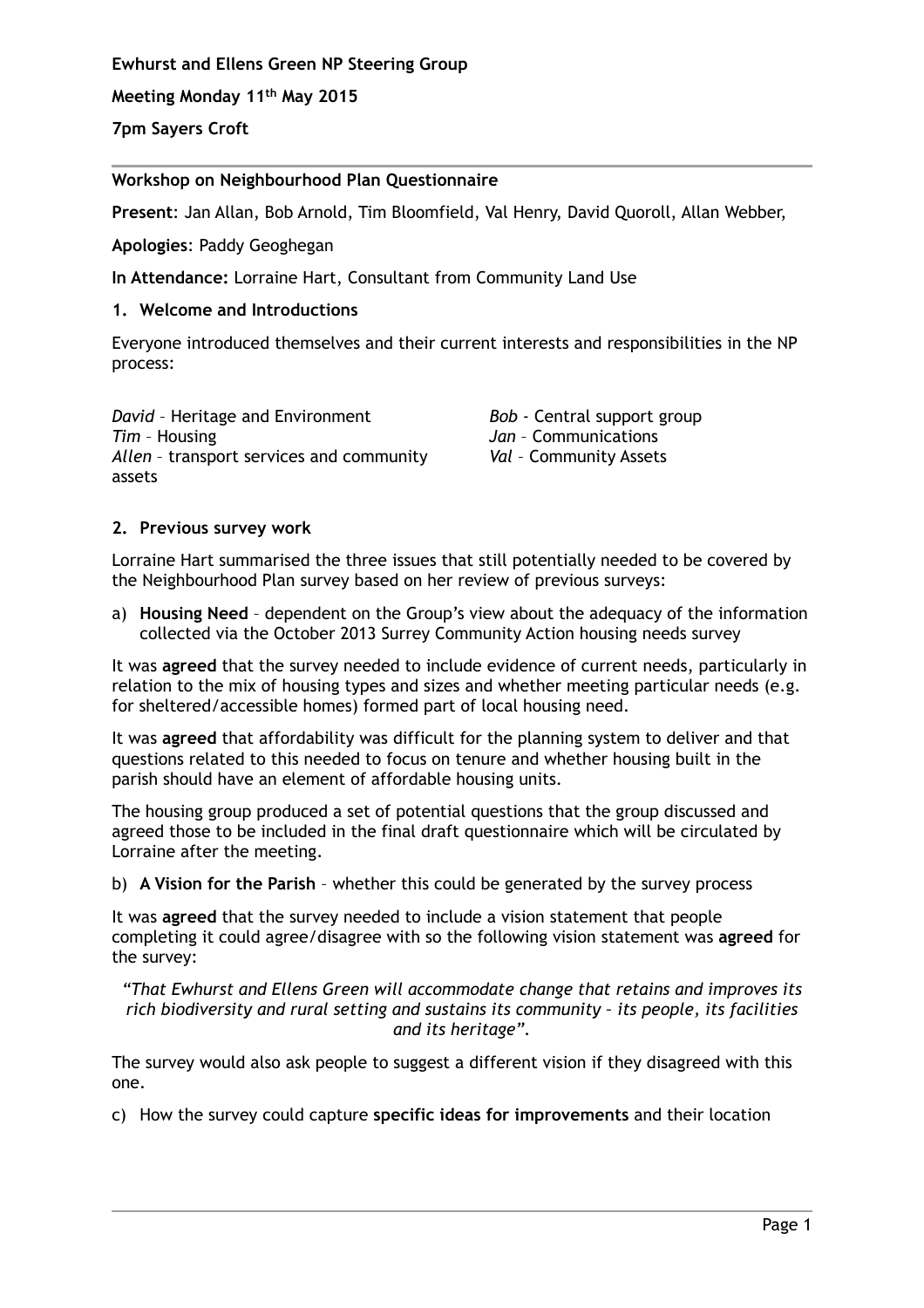**Ewhurst and Ellens Green NP Steering Group**

**Meeting Monday 11th May 2015**

**7pm Sayers Croft**

# **Workshop on Neighbourhood Plan Questionnaire**

**Present**: Jan Allan, Bob Arnold, Tim Bloomfield, Val Henry, David Quoroll, Allan Webber,

**Apologies**: Paddy Geoghegan

**In Attendance:** Lorraine Hart, Consultant from Community Land Use

## **1. Welcome and Introductions**

Everyone introduced themselves and their current interests and responsibilities in the NP process:

*David* – Heritage and Environment *Tim* – Housing *Allen* – transport services and community assets

*Bob* - Central support group *Jan* – Communications *Val* – Community Assets

## **2. Previous survey work**

Lorraine Hart summarised the three issues that still potentially needed to be covered by the Neighbourhood Plan survey based on her review of previous surveys:

a) **Housing Need** – dependent on the Group's view about the adequacy of the information collected via the October 2013 Surrey Community Action housing needs survey

It was **agreed** that the survey needed to include evidence of current needs, particularly in relation to the mix of housing types and sizes and whether meeting particular needs (e.g. for sheltered/accessible homes) formed part of local housing need.

It was **agreed** that affordability was difficult for the planning system to deliver and that questions related to this needed to focus on tenure and whether housing built in the parish should have an element of affordable housing units.

The housing group produced a set of potential questions that the group discussed and agreed those to be included in the final draft questionnaire which will be circulated by Lorraine after the meeting.

b) **A Vision for the Parish** – whether this could be generated by the survey process

It was **agreed** that the survey needed to include a vision statement that people completing it could agree/disagree with so the following vision statement was **agreed** for the survey:

*"That Ewhurst and Ellens Green will accommodate change that retains and improves its rich biodiversity and rural setting and sustains its community – its people, its facilities and its heritage".*

The survey would also ask people to suggest a different vision if they disagreed with this one.

c) How the survey could capture **specific ideas for improvements** and their location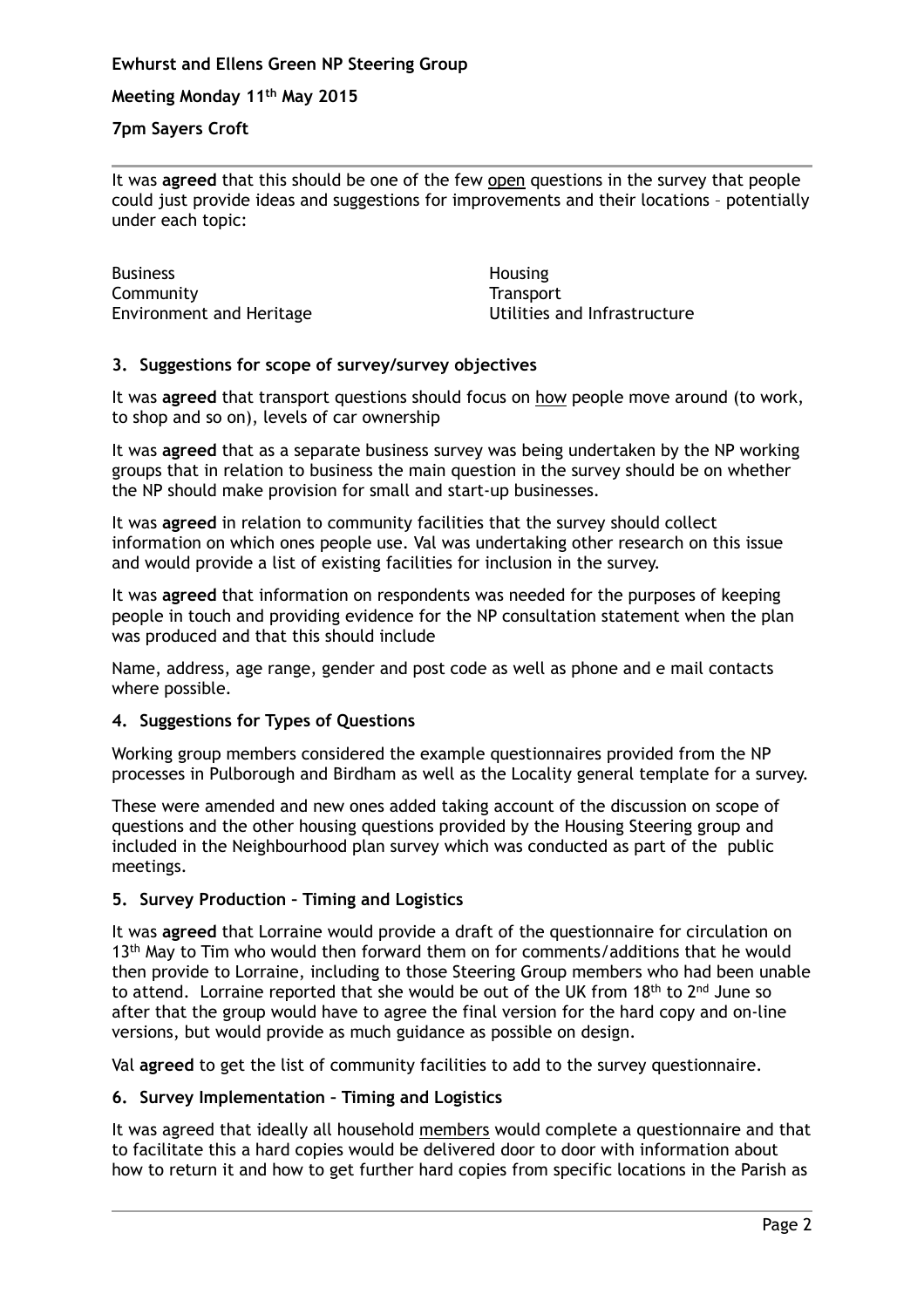### **Ewhurst and Ellens Green NP Steering Group**

**Meeting Monday 11th May 2015**

### **7pm Sayers Croft**

It was **agreed** that this should be one of the few open questions in the survey that people could just provide ideas and suggestions for improvements and their locations – potentially under each topic:

Business Community Environment and Heritage **Housing Transport** Utilities and Infrastructure

## **3. Suggestions for scope of survey/survey objectives**

It was **agreed** that transport questions should focus on how people move around (to work, to shop and so on), levels of car ownership

It was **agreed** that as a separate business survey was being undertaken by the NP working groups that in relation to business the main question in the survey should be on whether the NP should make provision for small and start-up businesses.

It was **agreed** in relation to community facilities that the survey should collect information on which ones people use. Val was undertaking other research on this issue and would provide a list of existing facilities for inclusion in the survey.

It was **agreed** that information on respondents was needed for the purposes of keeping people in touch and providing evidence for the NP consultation statement when the plan was produced and that this should include

Name, address, age range, gender and post code as well as phone and e mail contacts where possible.

#### **4. Suggestions for Types of Questions**

Working group members considered the example questionnaires provided from the NP processes in Pulborough and Birdham as well as the Locality general template for a survey.

These were amended and new ones added taking account of the discussion on scope of questions and the other housing questions provided by the Housing Steering group and included in the Neighbourhood plan survey which was conducted as part of the public meetings.

#### **5. Survey Production – Timing and Logistics**

It was **agreed** that Lorraine would provide a draft of the questionnaire for circulation on 13<sup>th</sup> May to Tim who would then forward them on for comments/additions that he would then provide to Lorraine, including to those Steering Group members who had been unable to attend. Lorraine reported that she would be out of the UK from 18<sup>th</sup> to 2<sup>nd</sup> June so after that the group would have to agree the final version for the hard copy and on-line versions, but would provide as much guidance as possible on design.

Val **agreed** to get the list of community facilities to add to the survey questionnaire.

# **6. Survey Implementation – Timing and Logistics**

It was agreed that ideally all household members would complete a questionnaire and that to facilitate this a hard copies would be delivered door to door with information about how to return it and how to get further hard copies from specific locations in the Parish as